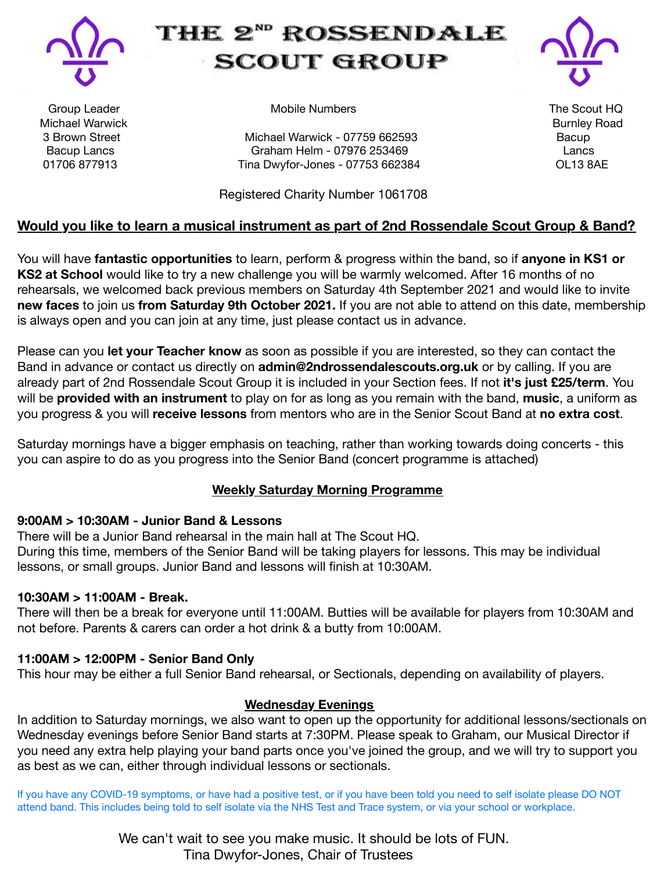

# THE 2<sup>ND</sup> ROSSENDALE **SCOUT GROUP**



Michael Warwick Burnley Road

Group Leader **Solut HOSE CONSUMERTY** Mobile Numbers **The Scout HQ** 

3 Brown Street **Brown Street Michael Warwick - 07759 662593** Bacup Bacup Lancs **Call and Craham Helm - 07976 253469** Lancs Lancs 01706 877913 Tina Dwyfor-Jones - 07753 662384 OL13 8AE

 Registered Charity Number 1061708

### **Would you like to learn a musical instrument as part of 2nd Rossendale Scout Group & Band?**

You will have **fantastic opportunities** to learn, perform & progress within the band, so if **anyone in KS1 or KS2 at School** would like to try a new challenge you will be warmly welcomed. After 16 months of no rehearsals, we welcomed back previous members on Saturday 4th September 2021 and would like to invite **new faces** to join us **from Saturday 9th October 2021.** If you are not able to attend on this date, membership is always open and you can join at any time, just please contact us in advance.

Please can you **let your Teacher know** as soon as possible if you are interested, so they can contact the Band in advance or contact us directly on **admin@2ndrossendalescouts.org.uk** or by calling. If you are already part of 2nd Rossendale Scout Group it is included in your Section fees. If not **it's just £25/term**. You will be **provided with an instrument** to play on for as long as you remain with the band, **music**, a uniform as you progress & you will **receive lessons** from mentors who are in the Senior Scout Band at **no extra cost**.

Saturday mornings have a bigger emphasis on teaching, rather than working towards doing concerts - this you can aspire to do as you progress into the Senior Band (concert programme is attached)

#### **Weekly Saturday Morning Programme**

#### **9:00AM > 10:30AM - Junior Band & Lessons**

There will be a Junior Band rehearsal in the main hall at The Scout HQ. During this time, members of the Senior Band will be taking players for lessons. This may be individual lessons, or small groups. Junior Band and lessons will finish at 10:30AM.

#### **10:30AM > 11:00AM - Break.**

There will then be a break for everyone until 11:00AM. Butties will be available for players from 10:30AM and not before. Parents & carers can order a hot drink & a butty from 10:00AM.

#### **11:00AM > 12:00PM - Senior Band Only**

This hour may be either a full Senior Band rehearsal, or Sectionals, depending on availability of players.

#### **Wednesday Evenings**

In addition to Saturday mornings, we also want to open up the opportunity for additional lessons/sectionals on Wednesday evenings before Senior Band starts at 7:30PM. Please speak to Graham, our Musical Director if you need any extra help playing your band parts once you've joined the group, and we will try to support you as best as we can, either through individual lessons or sectionals.

If you have any COVID-19 symptoms, or have had a positive test, or if you have been told you need to self isolate please DO NOT attend band. This includes being told to self isolate via the NHS Test and Trace system, or via your school or workplace.

> We can't wait to see you make music. It should be lots of FUN. Tina Dwyfor-Jones, Chair of Trustees